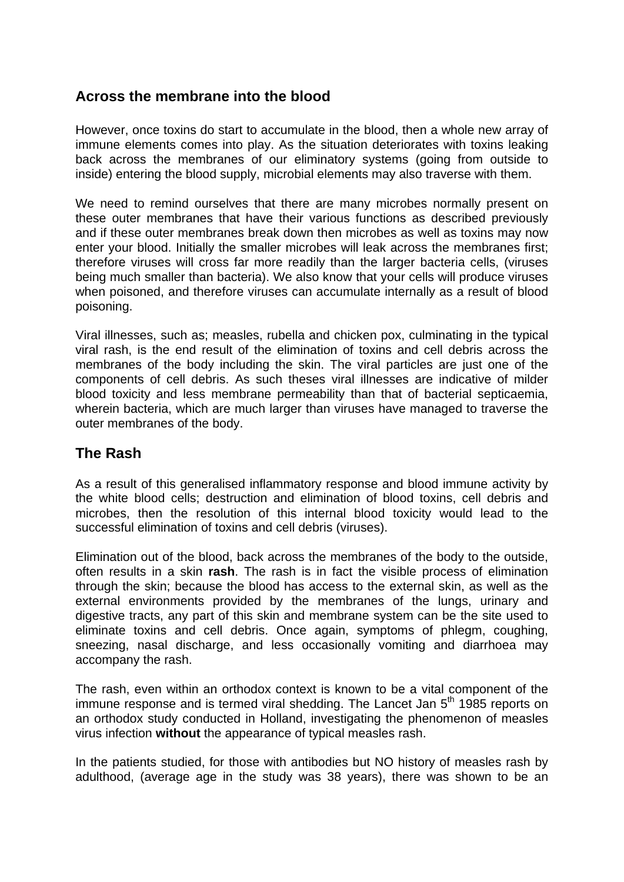# **Across the membrane into the blood**

However, once toxins do start to accumulate in the blood, then a whole new array of immune elements comes into play. As the situation deteriorates with toxins leaking back across the membranes of our eliminatory systems (going from outside to inside) entering the blood supply, microbial elements may also traverse with them.

We need to remind ourselves that there are many microbes normally present on these outer membranes that have their various functions as described previously and if these outer membranes break down then microbes as well as toxins may now enter your blood. Initially the smaller microbes will leak across the membranes first; therefore viruses will cross far more readily than the larger bacteria cells, (viruses being much smaller than bacteria). We also know that your cells will produce viruses when poisoned, and therefore viruses can accumulate internally as a result of blood poisoning.

Viral illnesses, such as; measles, rubella and chicken pox, culminating in the typical viral rash, is the end result of the elimination of toxins and cell debris across the membranes of the body including the skin. The viral particles are just one of the components of cell debris. As such theses viral illnesses are indicative of milder blood toxicity and less membrane permeability than that of bacterial septicaemia, wherein bacteria, which are much larger than viruses have managed to traverse the outer membranes of the body.

## **The Rash**

As a result of this generalised inflammatory response and blood immune activity by the white blood cells; destruction and elimination of blood toxins, cell debris and microbes, then the resolution of this internal blood toxicity would lead to the successful elimination of toxins and cell debris (viruses).

Elimination out of the blood, back across the membranes of the body to the outside, often results in a skin **rash**. The rash is in fact the visible process of elimination through the skin; because the blood has access to the external skin, as well as the external environments provided by the membranes of the lungs, urinary and digestive tracts, any part of this skin and membrane system can be the site used to eliminate toxins and cell debris. Once again, symptoms of phlegm, coughing, sneezing, nasal discharge, and less occasionally vomiting and diarrhoea may accompany the rash.

The rash, even within an orthodox context is known to be a vital component of the immune response and is termed viral shedding. The Lancet Jan  $5<sup>th</sup>$  1985 reports on an orthodox study conducted in Holland, investigating the phenomenon of measles virus infection **without** the appearance of typical measles rash.

In the patients studied, for those with antibodies but NO history of measles rash by adulthood, (average age in the study was 38 years), there was shown to be an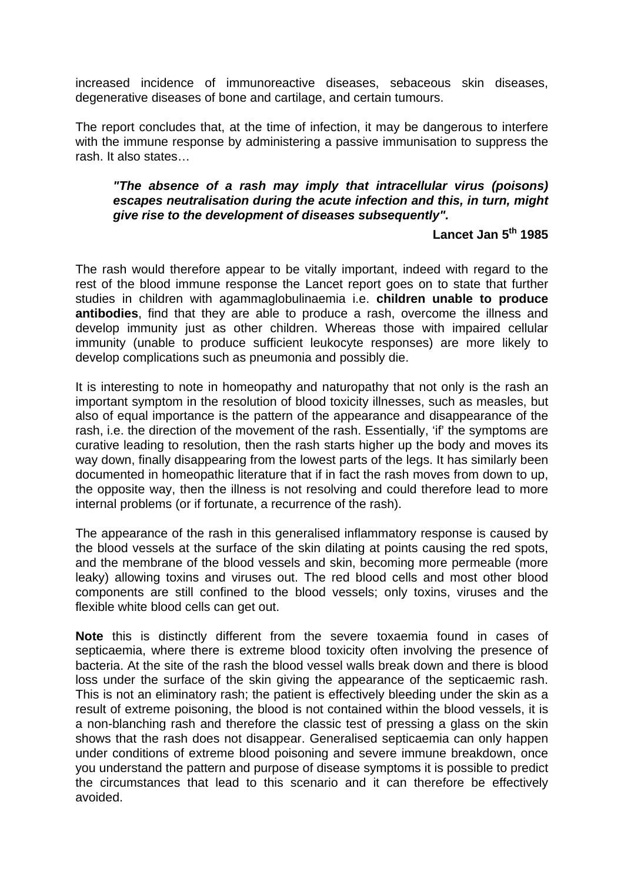increased incidence of immunoreactive diseases, sebaceous skin diseases, degenerative diseases of bone and cartilage, and certain tumours.

The report concludes that, at the time of infection, it may be dangerous to interfere with the immune response by administering a passive immunisation to suppress the rash. It also states…

### *"The absence of a rash may imply that intracellular virus (poisons) escapes neutralisation during the acute infection and this, in turn, might give rise to the development of diseases subsequently".*

# **Lancet Jan 5th 1985**

The rash would therefore appear to be vitally important, indeed with regard to the rest of the blood immune response the Lancet report goes on to state that further studies in children with agammaglobulinaemia i.e. **children unable to produce antibodies**, find that they are able to produce a rash, overcome the illness and develop immunity just as other children. Whereas those with impaired cellular immunity (unable to produce sufficient leukocyte responses) are more likely to develop complications such as pneumonia and possibly die.

It is interesting to note in homeopathy and naturopathy that not only is the rash an important symptom in the resolution of blood toxicity illnesses, such as measles, but also of equal importance is the pattern of the appearance and disappearance of the rash, i.e. the direction of the movement of the rash. Essentially, 'if' the symptoms are curative leading to resolution, then the rash starts higher up the body and moves its way down, finally disappearing from the lowest parts of the legs. It has similarly been documented in homeopathic literature that if in fact the rash moves from down to up, the opposite way, then the illness is not resolving and could therefore lead to more internal problems (or if fortunate, a recurrence of the rash).

The appearance of the rash in this generalised inflammatory response is caused by the blood vessels at the surface of the skin dilating at points causing the red spots, and the membrane of the blood vessels and skin, becoming more permeable (more leaky) allowing toxins and viruses out. The red blood cells and most other blood components are still confined to the blood vessels; only toxins, viruses and the flexible white blood cells can get out.

**Note** this is distinctly different from the severe toxaemia found in cases of septicaemia, where there is extreme blood toxicity often involving the presence of bacteria. At the site of the rash the blood vessel walls break down and there is blood loss under the surface of the skin giving the appearance of the septicaemic rash. This is not an eliminatory rash; the patient is effectively bleeding under the skin as a result of extreme poisoning, the blood is not contained within the blood vessels, it is a non-blanching rash and therefore the classic test of pressing a glass on the skin shows that the rash does not disappear. Generalised septicaemia can only happen under conditions of extreme blood poisoning and severe immune breakdown, once you understand the pattern and purpose of disease symptoms it is possible to predict the circumstances that lead to this scenario and it can therefore be effectively avoided.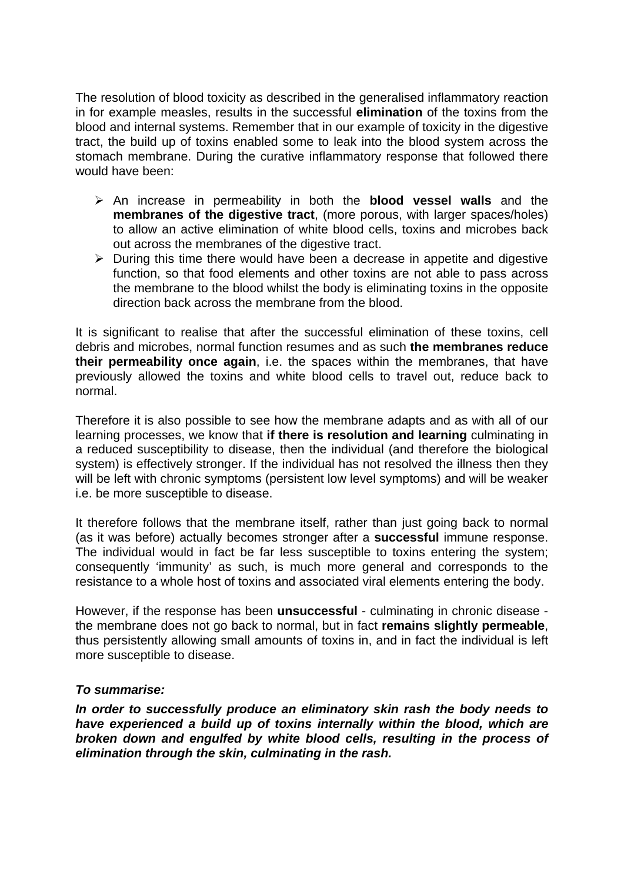The resolution of blood toxicity as described in the generalised inflammatory reaction in for example measles, results in the successful **elimination** of the toxins from the blood and internal systems. Remember that in our example of toxicity in the digestive tract, the build up of toxins enabled some to leak into the blood system across the stomach membrane. During the curative inflammatory response that followed there would have been:

- An increase in permeability in both the **blood vessel walls** and the **membranes of the digestive tract**, (more porous, with larger spaces/holes) to allow an active elimination of white blood cells, toxins and microbes back out across the membranes of the digestive tract.
- $\triangleright$  During this time there would have been a decrease in appetite and digestive function, so that food elements and other toxins are not able to pass across the membrane to the blood whilst the body is eliminating toxins in the opposite direction back across the membrane from the blood.

It is significant to realise that after the successful elimination of these toxins, cell debris and microbes, normal function resumes and as such **the membranes reduce their permeability once again**, i.e. the spaces within the membranes, that have previously allowed the toxins and white blood cells to travel out, reduce back to normal.

Therefore it is also possible to see how the membrane adapts and as with all of our learning processes, we know that **if there is resolution and learning** culminating in a reduced susceptibility to disease, then the individual (and therefore the biological system) is effectively stronger. If the individual has not resolved the illness then they will be left with chronic symptoms (persistent low level symptoms) and will be weaker i.e. be more susceptible to disease.

It therefore follows that the membrane itself, rather than just going back to normal (as it was before) actually becomes stronger after a **successful** immune response. The individual would in fact be far less susceptible to toxins entering the system; consequently 'immunity' as such, is much more general and corresponds to the resistance to a whole host of toxins and associated viral elements entering the body.

However, if the response has been **unsuccessful** - culminating in chronic disease the membrane does not go back to normal, but in fact **remains slightly permeable**, thus persistently allowing small amounts of toxins in, and in fact the individual is left more susceptible to disease.

### *To summarise:*

*In order to successfully produce an eliminatory skin rash the body needs to have experienced a build up of toxins internally within the blood, which are broken down and engulfed by white blood cells, resulting in the process of elimination through the skin, culminating in the rash.*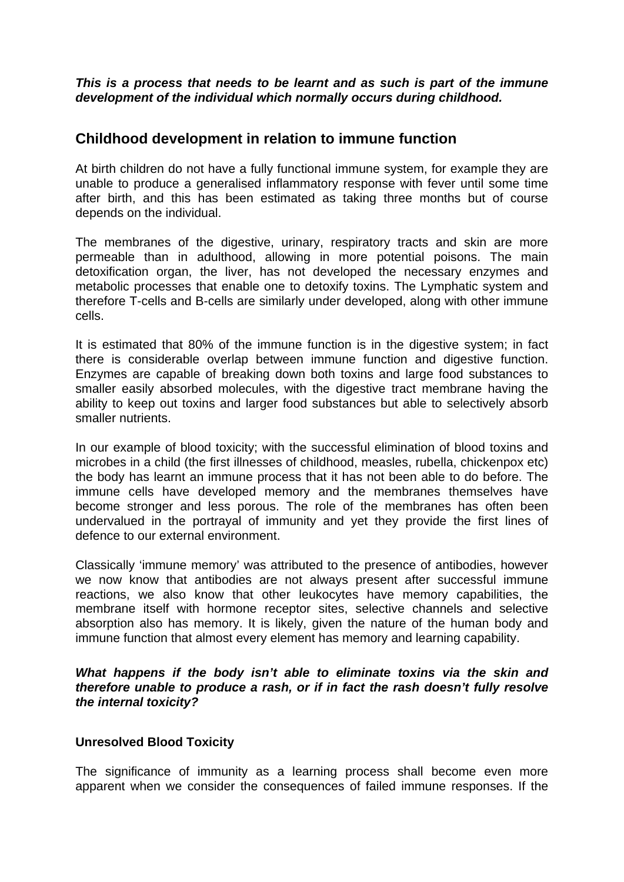### *This is a process that needs to be learnt and as such is part of the immune development of the individual which normally occurs during childhood.*

### **Childhood development in relation to immune function**

At birth children do not have a fully functional immune system, for example they are unable to produce a generalised inflammatory response with fever until some time after birth, and this has been estimated as taking three months but of course depends on the individual.

The membranes of the digestive, urinary, respiratory tracts and skin are more permeable than in adulthood, allowing in more potential poisons. The main detoxification organ, the liver, has not developed the necessary enzymes and metabolic processes that enable one to detoxify toxins. The Lymphatic system and therefore T-cells and B-cells are similarly under developed, along with other immune cells.

It is estimated that 80% of the immune function is in the digestive system; in fact there is considerable overlap between immune function and digestive function. Enzymes are capable of breaking down both toxins and large food substances to smaller easily absorbed molecules, with the digestive tract membrane having the ability to keep out toxins and larger food substances but able to selectively absorb smaller nutrients.

In our example of blood toxicity; with the successful elimination of blood toxins and microbes in a child (the first illnesses of childhood, measles, rubella, chickenpox etc) the body has learnt an immune process that it has not been able to do before. The immune cells have developed memory and the membranes themselves have become stronger and less porous. The role of the membranes has often been undervalued in the portrayal of immunity and yet they provide the first lines of defence to our external environment.

Classically 'immune memory' was attributed to the presence of antibodies, however we now know that antibodies are not always present after successful immune reactions, we also know that other leukocytes have memory capabilities, the membrane itself with hormone receptor sites, selective channels and selective absorption also has memory. It is likely, given the nature of the human body and immune function that almost every element has memory and learning capability.

*What happens if the body isn't able to eliminate toxins via the skin and therefore unable to produce a rash, or if in fact the rash doesn't fully resolve the internal toxicity?* 

#### **Unresolved Blood Toxicity**

The significance of immunity as a learning process shall become even more apparent when we consider the consequences of failed immune responses. If the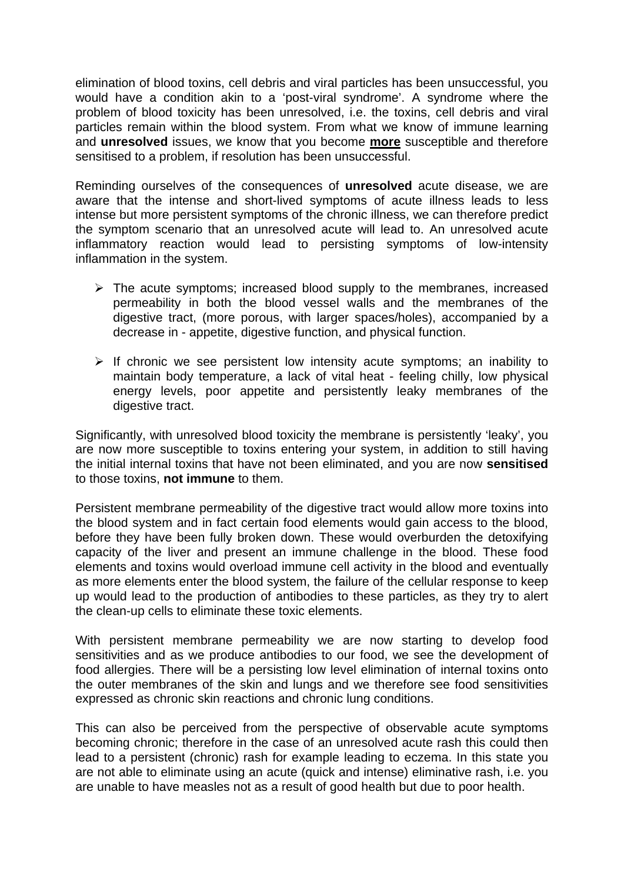elimination of blood toxins, cell debris and viral particles has been unsuccessful, you would have a condition akin to a 'post-viral syndrome'. A syndrome where the problem of blood toxicity has been unresolved, i.e. the toxins, cell debris and viral particles remain within the blood system. From what we know of immune learning and **unresolved** issues, we know that you become **more** susceptible and therefore sensitised to a problem, if resolution has been unsuccessful.

Reminding ourselves of the consequences of **unresolved** acute disease, we are aware that the intense and short-lived symptoms of acute illness leads to less intense but more persistent symptoms of the chronic illness, we can therefore predict the symptom scenario that an unresolved acute will lead to. An unresolved acute inflammatory reaction would lead to persisting symptoms of low-intensity inflammation in the system.

- $\triangleright$  The acute symptoms; increased blood supply to the membranes, increased permeability in both the blood vessel walls and the membranes of the digestive tract, (more porous, with larger spaces/holes), accompanied by a decrease in - appetite, digestive function, and physical function.
- $\triangleright$  If chronic we see persistent low intensity acute symptoms; an inability to maintain body temperature, a lack of vital heat - feeling chilly, low physical energy levels, poor appetite and persistently leaky membranes of the digestive tract.

Significantly, with unresolved blood toxicity the membrane is persistently 'leaky', you are now more susceptible to toxins entering your system, in addition to still having the initial internal toxins that have not been eliminated, and you are now **sensitised** to those toxins, **not immune** to them.

Persistent membrane permeability of the digestive tract would allow more toxins into the blood system and in fact certain food elements would gain access to the blood, before they have been fully broken down. These would overburden the detoxifying capacity of the liver and present an immune challenge in the blood. These food elements and toxins would overload immune cell activity in the blood and eventually as more elements enter the blood system, the failure of the cellular response to keep up would lead to the production of antibodies to these particles, as they try to alert the clean-up cells to eliminate these toxic elements.

With persistent membrane permeability we are now starting to develop food sensitivities and as we produce antibodies to our food, we see the development of food allergies. There will be a persisting low level elimination of internal toxins onto the outer membranes of the skin and lungs and we therefore see food sensitivities expressed as chronic skin reactions and chronic lung conditions.

This can also be perceived from the perspective of observable acute symptoms becoming chronic; therefore in the case of an unresolved acute rash this could then lead to a persistent (chronic) rash for example leading to eczema. In this state you are not able to eliminate using an acute (quick and intense) eliminative rash, i.e. you are unable to have measles not as a result of good health but due to poor health.